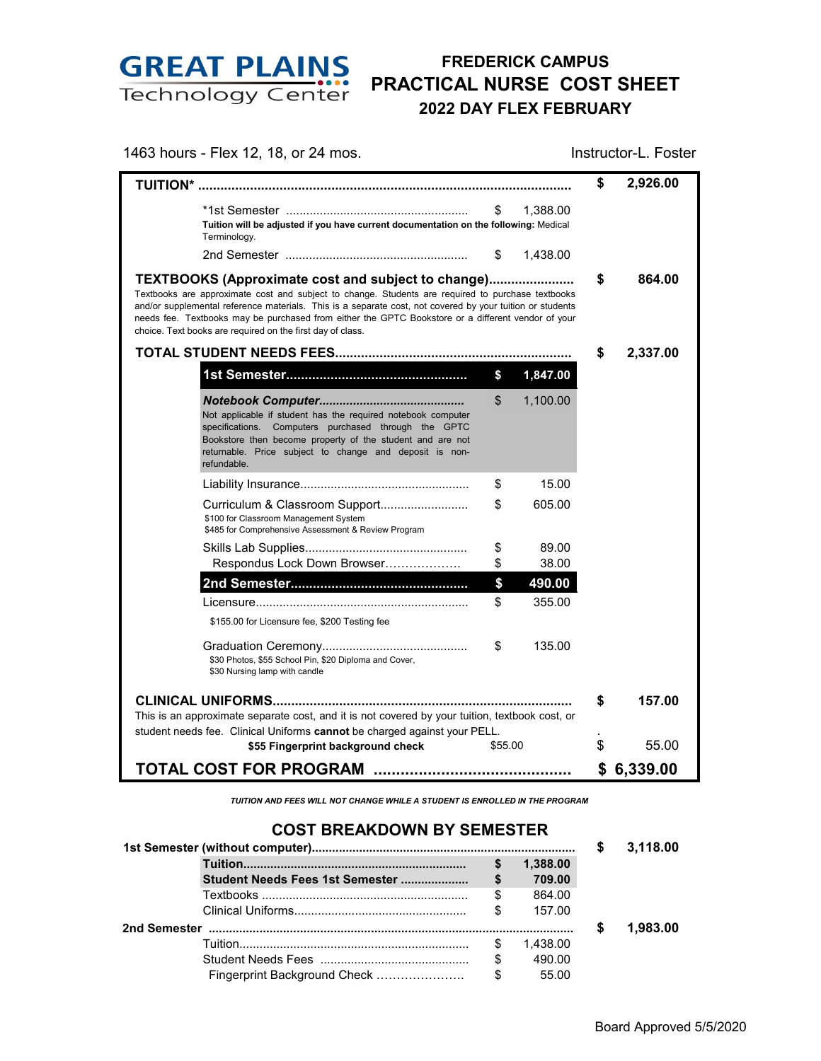

## **FREDERICK CAMPUS PRACTICAL NURSE COST SHEET 2022 DAY FLEX FEBRUARY**

1463 hours - Flex 12, 18, or 24 mos. Instructor-L. Foster

|                                                                                                                                                                                                                                                                                                                                                                                                                                                 |         |          | \$ | 2,926.00 |
|-------------------------------------------------------------------------------------------------------------------------------------------------------------------------------------------------------------------------------------------------------------------------------------------------------------------------------------------------------------------------------------------------------------------------------------------------|---------|----------|----|----------|
| Tuition will be adjusted if you have current documentation on the following: Medical<br>Terminology.                                                                                                                                                                                                                                                                                                                                            | \$      | 1.388.00 |    |          |
|                                                                                                                                                                                                                                                                                                                                                                                                                                                 | \$      | 1,438.00 |    |          |
| <b>TEXTBOOKS (Approximate cost and subject to change)</b><br>Textbooks are approximate cost and subject to change. Students are required to purchase textbooks<br>and/or supplemental reference materials. This is a separate cost, not covered by your tuition or students<br>needs fee. Textbooks may be purchased from either the GPTC Bookstore or a different vendor of your<br>choice. Text books are required on the first day of class. | \$      | 864.00   |    |          |
|                                                                                                                                                                                                                                                                                                                                                                                                                                                 | \$      | 2,337.00 |    |          |
|                                                                                                                                                                                                                                                                                                                                                                                                                                                 | \$      | 1,847.00 |    |          |
| Not applicable if student has the required notebook computer<br>specifications. Computers purchased through the GPTC<br>Bookstore then become property of the student and are not<br>returnable. Price subject to change and deposit is non-<br>refundable.                                                                                                                                                                                     | \$      | 1,100.00 |    |          |
|                                                                                                                                                                                                                                                                                                                                                                                                                                                 | \$      | 15.00    |    |          |
| Curriculum & Classroom Support<br>\$100 for Classroom Management System<br>\$485 for Comprehensive Assessment & Review Program                                                                                                                                                                                                                                                                                                                  | \$      | 605.00   |    |          |
|                                                                                                                                                                                                                                                                                                                                                                                                                                                 | \$      | 89.00    |    |          |
| Respondus Lock Down Browser                                                                                                                                                                                                                                                                                                                                                                                                                     | \$      | 38.00    |    |          |
|                                                                                                                                                                                                                                                                                                                                                                                                                                                 | \$      | 490.00   |    |          |
|                                                                                                                                                                                                                                                                                                                                                                                                                                                 | \$      | 355.00   |    |          |
| \$155.00 for Licensure fee, \$200 Testing fee                                                                                                                                                                                                                                                                                                                                                                                                   |         |          |    |          |
| \$30 Photos, \$55 School Pin, \$20 Diploma and Cover,<br>\$30 Nursing lamp with candle                                                                                                                                                                                                                                                                                                                                                          | \$      | 135.00   |    |          |
|                                                                                                                                                                                                                                                                                                                                                                                                                                                 |         |          | S  | 157.00   |
| This is an approximate separate cost, and it is not covered by your tuition, textbook cost, or                                                                                                                                                                                                                                                                                                                                                  |         |          |    |          |
| student needs fee. Clinical Uniforms cannot be charged against your PELL.                                                                                                                                                                                                                                                                                                                                                                       |         |          |    |          |
| \$55 Fingerprint background check                                                                                                                                                                                                                                                                                                                                                                                                               | \$55.00 |          | \$ | 55.00    |
| <b>TOTAL COST FOR PROGRAM</b>                                                                                                                                                                                                                                                                                                                                                                                                                   |         |          | \$ | 6,339.00 |

*TUITION AND FEES WILL NOT CHANGE WHILE A STUDENT IS ENROLLED IN THE PROGRAM*

## **COST BREAKDOWN BY SEMESTER**

|                                                 |                                 |    |          | S | 3.118.00 |
|-------------------------------------------------|---------------------------------|----|----------|---|----------|
|                                                 |                                 | \$ | 1.388.00 |   |          |
|                                                 | Student Needs Fees 1st Semester | \$ | 709.00   |   |          |
|                                                 |                                 | \$ | 864.00   |   |          |
|                                                 |                                 | \$ | 157.00   |   |          |
| 2nd Semester ………………………………………………………………………………………… |                                 |    |          |   | 1.983.00 |
|                                                 |                                 | £. | 1.438.00 |   |          |
|                                                 |                                 |    | 490.00   |   |          |
|                                                 |                                 |    | 55.00    |   |          |